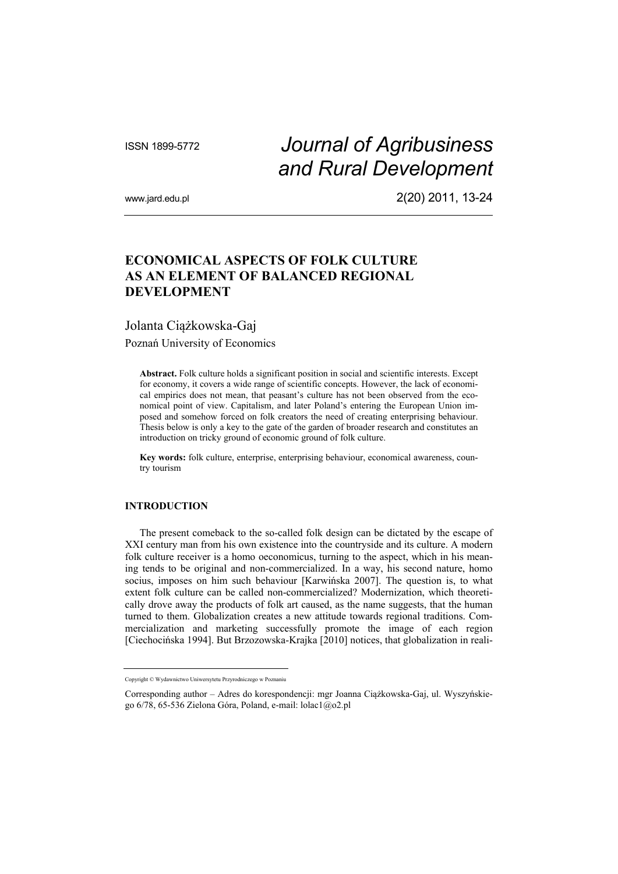# ISSN 1899-5772 *Journal of Agribusiness and Rural Development*

www.jard.edu.pl 2(20) 2011, 13-24

## **ECONOMICAL ASPECTS OF FOLK CULTURE AS AN ELEMENT OF BALANCED REGIONAL DEVELOPMENT**

## Jolanta Ciążkowska-Gaj

Poznań University of Economics

**Abstract.** Folk culture holds a significant position in social and scientific interests. Except for economy, it covers a wide range of scientific concepts. However, the lack of economical empirics does not mean, that peasant's culture has not been observed from the economical point of view. Capitalism, and later Poland's entering the European Union imposed and somehow forced on folk creators the need of creating enterprising behaviour. Thesis below is only a key to the gate of the garden of broader research and constitutes an introduction on tricky ground of economic ground of folk culture.

**Key words:** folk culture, enterprise, enterprising behaviour, economical awareness, country tourism

## **INTRODUCTION**

The present comeback to the so-called folk design can be dictated by the escape of XXI century man from his own existence into the countryside and its culture. A modern folk culture receiver is a homo oeconomicus, turning to the aspect, which in his meaning tends to be original and non-commercialized. In a way, his second nature, homo socius, imposes on him such behaviour [Karwińska 2007]. The question is, to what extent folk culture can be called non-commercialized? Modernization, which theoretically drove away the products of folk art caused, as the name suggests, that the human turned to them. Globalization creates a new attitude towards regional traditions. Commercialization and marketing successfully promote the image of each region [Ciechocińska 1994]. But Brzozowska-Krajka [2010] notices, that globalization in reali-

Copyright © Wydawnictwo Uniwersytetu Przyrodniczego w Poznaniu

Corresponding author – Adres do korespondencji: mgr Joanna Ciążkowska-Gaj, ul. Wyszyńskiego 6/78, 65-536 Zielona Góra, Poland, e-mail: lolac1@o2.pl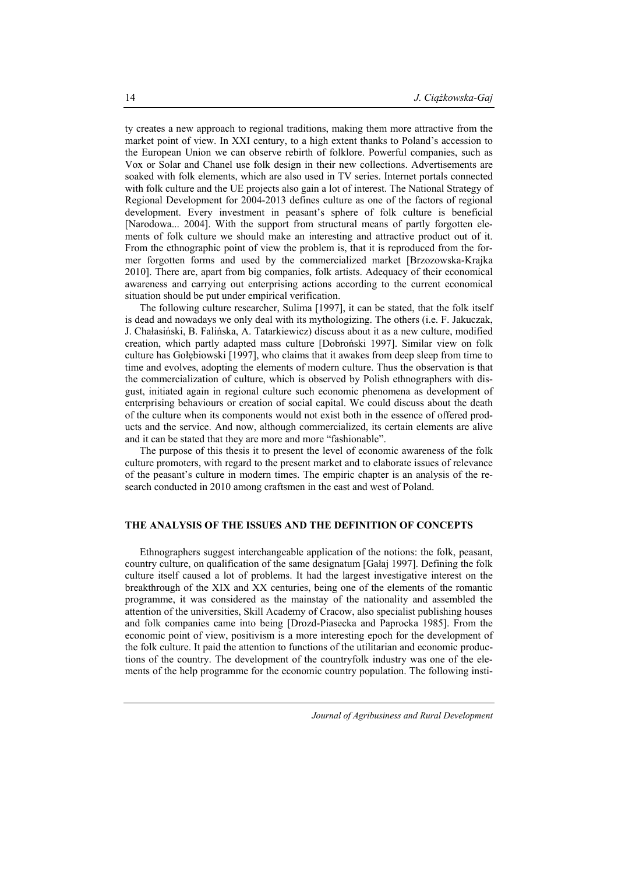ty creates a new approach to regional traditions, making them more attractive from the market point of view. In XXI century, to a high extent thanks to Poland's accession to the European Union we can observe rebirth of folklore. Powerful companies, such as Vox or Solar and Chanel use folk design in their new collections. Advertisements are soaked with folk elements, which are also used in TV series. Internet portals connected with folk culture and the UE projects also gain a lot of interest. The National Strategy of Regional Development for 2004-2013 defines culture as one of the factors of regional development. Every investment in peasant's sphere of folk culture is beneficial [Narodowa... 2004]. With the support from structural means of partly forgotten elements of folk culture we should make an interesting and attractive product out of it. From the ethnographic point of view the problem is, that it is reproduced from the former forgotten forms and used by the commercialized market [Brzozowska-Krajka 2010]. There are, apart from big companies, folk artists. Adequacy of their economical awareness and carrying out enterprising actions according to the current economical situation should be put under empirical verification.

The following culture researcher, Sulima [1997], it can be stated, that the folk itself is dead and nowadays we only deal with its mythologizing. The others (i.e. F. Jakuczak, J. Chałasiński, B. Falińska, A. Tatarkiewicz) discuss about it as a new culture, modified creation, which partly adapted mass culture [Dobroński 1997]. Similar view on folk culture has Gołębiowski [1997], who claims that it awakes from deep sleep from time to time and evolves, adopting the elements of modern culture. Thus the observation is that the commercialization of culture, which is observed by Polish ethnographers with disgust, initiated again in regional culture such economic phenomena as development of enterprising behaviours or creation of social capital. We could discuss about the death of the culture when its components would not exist both in the essence of offered products and the service. And now, although commercialized, its certain elements are alive and it can be stated that they are more and more "fashionable".

The purpose of this thesis it to present the level of economic awareness of the folk culture promoters, with regard to the present market and to elaborate issues of relevance of the peasant's culture in modern times. The empiric chapter is an analysis of the research conducted in 2010 among craftsmen in the east and west of Poland.

#### **THE ANALYSIS OF THE ISSUES AND THE DEFINITION OF CONCEPTS**

Ethnographers suggest interchangeable application of the notions: the folk, peasant, country culture, on qualification of the same designatum [Gałaj 1997]. Defining the folk culture itself caused a lot of problems. It had the largest investigative interest on the breakthrough of the XIX and XX centuries, being one of the elements of the romantic programme, it was considered as the mainstay of the nationality and assembled the attention of the universities, Skill Academy of Cracow, also specialist publishing houses and folk companies came into being [Drozd-Piasecka and Paprocka 1985]. From the economic point of view, positivism is a more interesting epoch for the development of the folk culture. It paid the attention to functions of the utilitarian and economic productions of the country. The development of the countryfolk industry was one of the elements of the help programme for the economic country population. The following insti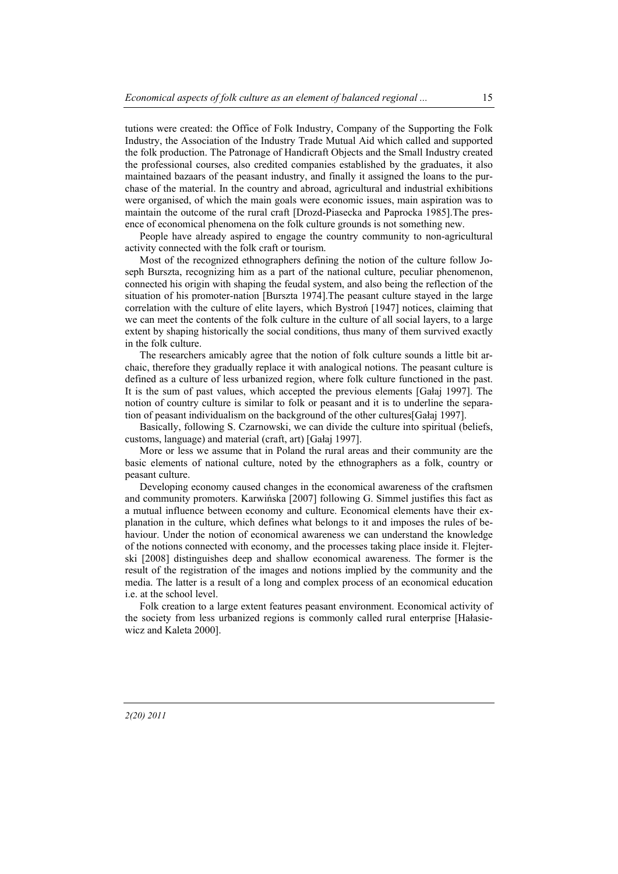tutions were created: the Office of Folk Industry, Company of the Supporting the Folk Industry, the Association of the Industry Trade Mutual Aid which called and supported the folk production. The Patronage of Handicraft Objects and the Small Industry created the professional courses, also credited companies established by the graduates, it also maintained bazaars of the peasant industry, and finally it assigned the loans to the purchase of the material. In the country and abroad, agricultural and industrial exhibitions were organised, of which the main goals were economic issues, main aspiration was to maintain the outcome of the rural craft [Drozd-Piasecka and Paprocka 1985].The presence of economical phenomena on the folk culture grounds is not something new.

People have already aspired to engage the country community to non-agricultural activity connected with the folk craft or tourism.

Most of the recognized ethnographers defining the notion of the culture follow Joseph Burszta, recognizing him as a part of the national culture, peculiar phenomenon, connected his origin with shaping the feudal system, and also being the reflection of the situation of his promoter-nation [Burszta 1974].The peasant culture stayed in the large correlation with the culture of elite layers, which Bystroń [1947] notices, claiming that we can meet the contents of the folk culture in the culture of all social layers, to a large extent by shaping historically the social conditions, thus many of them survived exactly in the folk culture.

The researchers amicably agree that the notion of folk culture sounds a little bit archaic, therefore they gradually replace it with analogical notions. The peasant culture is defined as a culture of less urbanized region, where folk culture functioned in the past. It is the sum of past values, which accepted the previous elements [Gałaj 1997]. The notion of country culture is similar to folk or peasant and it is to underline the separation of peasant individualism on the background of the other cultures[Gałaj 1997].

Basically, following S. Czarnowski, we can divide the culture into spiritual (beliefs, customs, language) and material (craft, art) [Gałaj 1997].

More or less we assume that in Poland the rural areas and their community are the basic elements of national culture, noted by the ethnographers as a folk, country or peasant culture.

Developing economy caused changes in the economical awareness of the craftsmen and community promoters. Karwińska [2007] following G. Simmel justifies this fact as a mutual influence between economy and culture. Economical elements have their explanation in the culture, which defines what belongs to it and imposes the rules of behaviour. Under the notion of economical awareness we can understand the knowledge of the notions connected with economy, and the processes taking place inside it. Flejterski [2008] distinguishes deep and shallow economical awareness. The former is the result of the registration of the images and notions implied by the community and the media. The latter is a result of a long and complex process of an economical education i.e. at the school level.

Folk creation to a large extent features peasant environment. Economical activity of the society from less urbanized regions is commonly called rural enterprise [Hałasiewicz and Kaleta 2000].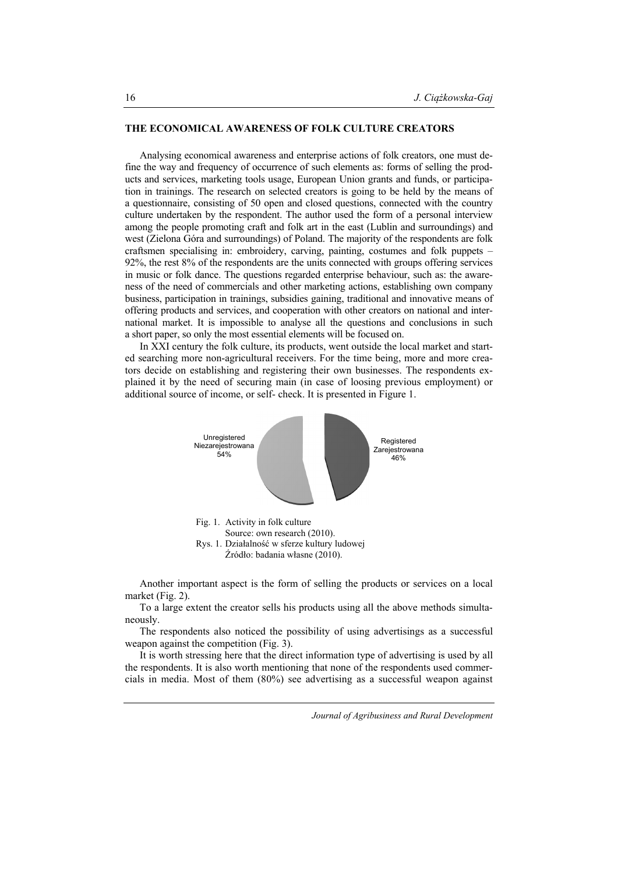#### **THE ECONOMICAL AWARENESS OF FOLK CULTURE CREATORS**

Analysing economical awareness and enterprise actions of folk creators, one must define the way and frequency of occurrence of such elements as: forms of selling the products and services, marketing tools usage, European Union grants and funds, or participation in trainings. The research on selected creators is going to be held by the means of a questionnaire, consisting of 50 open and closed questions, connected with the country culture undertaken by the respondent. The author used the form of a personal interview among the people promoting craft and folk art in the east (Lublin and surroundings) and west (Zielona Góra and surroundings) of Poland. The majority of the respondents are folk craftsmen specialising in: embroidery, carving, painting, costumes and folk puppets – 92%, the rest 8% of the respondents are the units connected with groups offering services in music or folk dance. The questions regarded enterprise behaviour, such as: the awareness of the need of commercials and other marketing actions, establishing own company business, participation in trainings, subsidies gaining, traditional and innovative means of offering products and services, and cooperation with other creators on national and international market. It is impossible to analyse all the questions and conclusions in such a short paper, so only the most essential elements will be focused on.

In XXI century the folk culture, its products, went outside the local market and started searching more non-agricultural receivers. For the time being, more and more creators decide on establishing and registering their own businesses. The respondents explained it by the need of securing main (in case of loosing previous employment) or additional source of income, or self- check. It is presented in Figure 1.



Another important aspect is the form of selling the products or services on a local market (Fig. 2).

To a large extent the creator sells his products using all the above methods simultaneously.

The respondents also noticed the possibility of using advertisings as a successful weapon against the competition (Fig. 3).

It is worth stressing here that the direct information type of advertising is used by all the respondents. It is also worth mentioning that none of the respondents used commercials in media. Most of them (80%) see advertising as a successful weapon against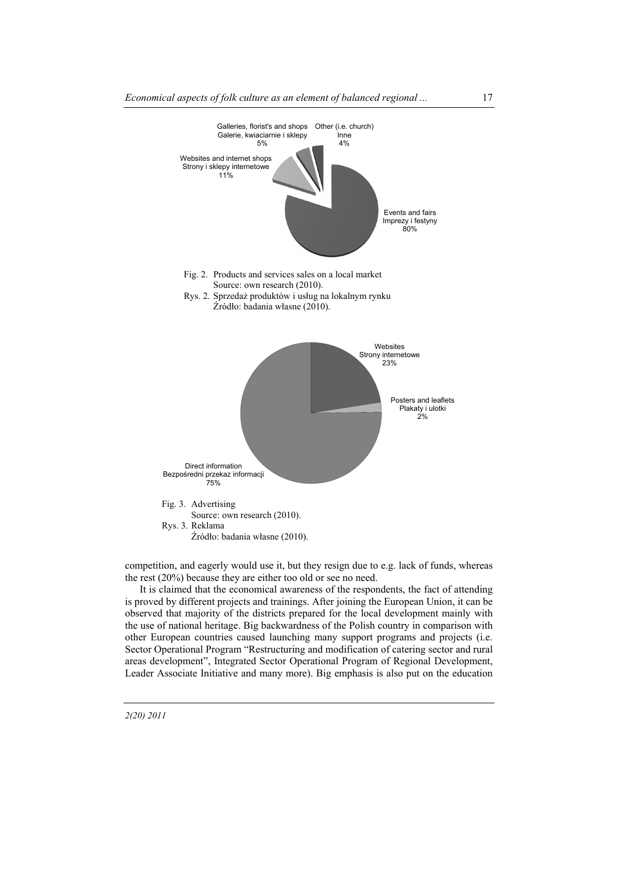

competition, and eagerly would use it, but they resign due to e.g. lack of funds, whereas the rest (20%) because they are either too old or see no need.

It is claimed that the economical awareness of the respondents, the fact of attending is proved by different projects and trainings. After joining the European Union, it can be observed that majority of the districts prepared for the local development mainly with the use of national heritage. Big backwardness of the Polish country in comparison with other European countries caused launching many support programs and projects (i.e. Sector Operational Program "Restructuring and modification of catering sector and rural areas development", Integrated Sector Operational Program of Regional Development, Leader Associate Initiative and many more). Big emphasis is also put on the education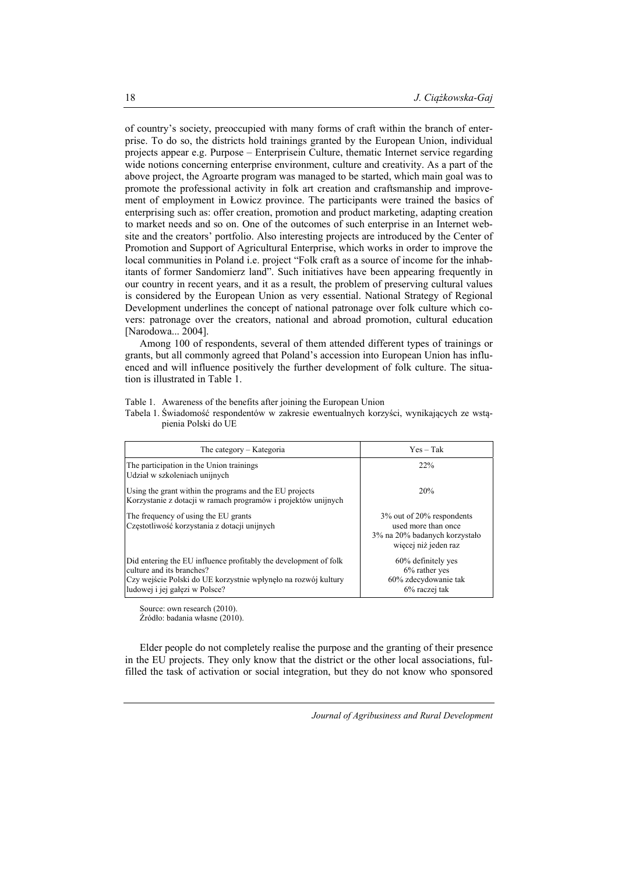of country's society, preoccupied with many forms of craft within the branch of enterprise. To do so, the districts hold trainings granted by the European Union, individual projects appear e.g. Purpose – Enterprisein Culture, thematic Internet service regarding wide notions concerning enterprise environment, culture and creativity. As a part of the above project, the Agroarte program was managed to be started, which main goal was to promote the professional activity in folk art creation and craftsmanship and improvement of employment in Łowicz province. The participants were trained the basics of enterprising such as: offer creation, promotion and product marketing, adapting creation to market needs and so on. One of the outcomes of such enterprise in an Internet website and the creators' portfolio. Also interesting projects are introduced by the Center of Promotion and Support of Agricultural Enterprise, which works in order to improve the local communities in Poland i.e. project "Folk craft as a source of income for the inhabitants of former Sandomierz land". Such initiatives have been appearing frequently in our country in recent years, and it as a result, the problem of preserving cultural values is considered by the European Union as very essential. National Strategy of Regional Development underlines the concept of national patronage over folk culture which covers: patronage over the creators, national and abroad promotion, cultural education [Narodowa... 2004].

Among 100 of respondents, several of them attended different types of trainings or grants, but all commonly agreed that Poland's accession into European Union has influenced and will influence positively the further development of folk culture. The situation is illustrated in Table 1.

|  |  | Table 1. Awareness of the benefits after joining the European Union |
|--|--|---------------------------------------------------------------------|
|  |  |                                                                     |

Tabela 1. Świadomość respondentów w zakresie ewentualnych korzyści, wynikających ze wstąpienia Polski do UE

| The category – Kategoria                                                                                                                                                                          | $Yes - Tak$                                                                                                 |
|---------------------------------------------------------------------------------------------------------------------------------------------------------------------------------------------------|-------------------------------------------------------------------------------------------------------------|
| The participation in the Union trainings<br>Udział w szkoleniach unijnych                                                                                                                         | 22%                                                                                                         |
| Using the grant within the programs and the EU projects<br>Korzystanie z dotacji w ramach programów i projektów unijnych                                                                          | 20%                                                                                                         |
| The frequency of using the EU grants<br>Częstotliwość korzystania z dotacji unijnych                                                                                                              | 3\% out of 20\% respondents<br>used more than once<br>3% na 20% badanych korzystało<br>wiecej niż jeden raz |
| Did entering the EU influence profitably the development of folk<br>culture and its branches?<br>Czy wejście Polski do UE korzystnie wpłynęło na rozwój kultury<br>ludowej i jej gałęzi w Polsce? | 60% definitely yes<br>$6\%$ rather yes<br>60% zdecydowanie tak<br>$6\%$ raczej tak                          |

Source: own research (2010).

Źródło: badania własne (2010).

Elder people do not completely realise the purpose and the granting of their presence in the EU projects. They only know that the district or the other local associations, fulfilled the task of activation or social integration, but they do not know who sponsored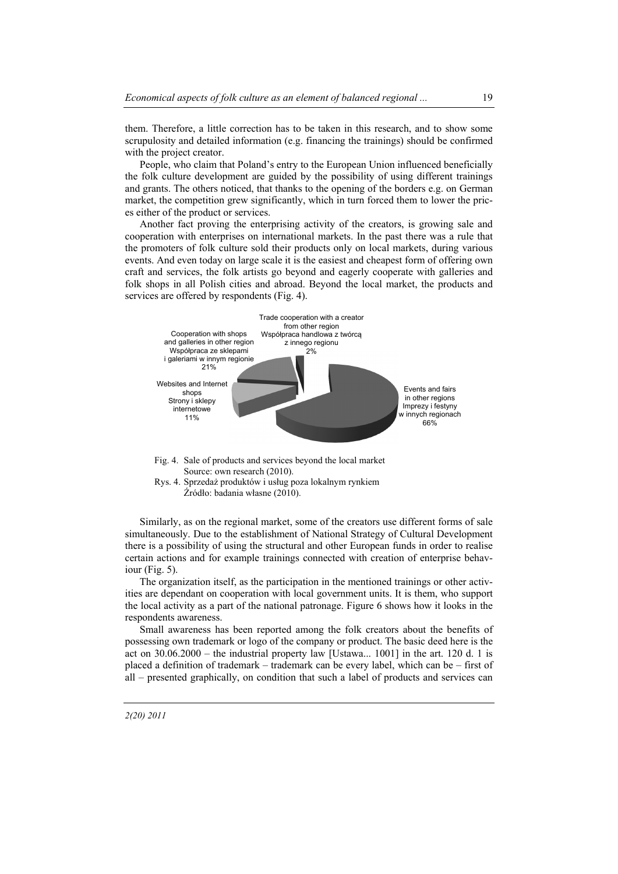them. Therefore, a little correction has to be taken in this research, and to show some scrupulosity and detailed information (e.g. financing the trainings) should be confirmed with the project creator.

People, who claim that Poland's entry to the European Union influenced beneficially the folk culture development are guided by the possibility of using different trainings and grants. The others noticed, that thanks to the opening of the borders e.g. on German market, the competition grew significantly, which in turn forced them to lower the prices either of the product or services.

Another fact proving the enterprising activity of the creators, is growing sale and cooperation with enterprises on international markets. In the past there was a rule that the promoters of folk culture sold their products only on local markets, during various events. And even today on large scale it is the easiest and cheapest form of offering own craft and services, the folk artists go beyond and eagerly cooperate with galleries and folk shops in all Polish cities and abroad. Beyond the local market, the products and services are offered by respondents (Fig. 4).



- Fig. 4. Sale of products and services beyond the local market Source: own research (2010).
- Rys. 4. Sprzedaż produktów i usług poza lokalnym rynkiem Źródło: badania własne (2010).

Similarly, as on the regional market, some of the creators use different forms of sale simultaneously. Due to the establishment of National Strategy of Cultural Development there is a possibility of using the structural and other European funds in order to realise certain actions and for example trainings connected with creation of enterprise behaviour (Fig. 5).

The organization itself, as the participation in the mentioned trainings or other activities are dependant on cooperation with local government units. It is them, who support the local activity as a part of the national patronage. Figure 6 shows how it looks in the respondents awareness.

Small awareness has been reported among the folk creators about the benefits of possessing own trademark or logo of the company or product. The basic deed here is the act on  $30.06.2000$  – the industrial property law [Ustawa... 1001] in the art. 120 d. 1 is placed a definition of trademark – trademark can be every label, which can be – first of all – presented graphically, on condition that such a label of products and services can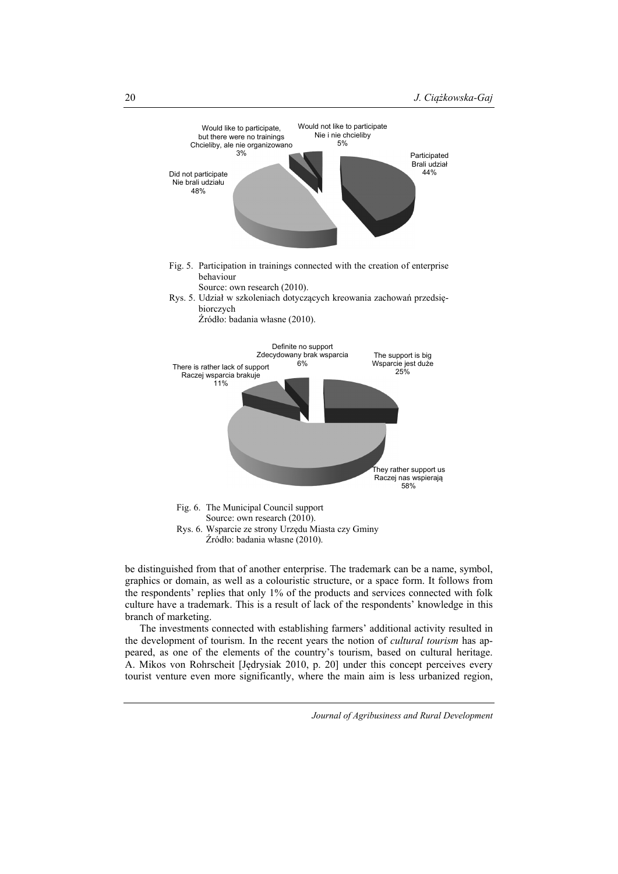

be distinguished from that of another enterprise. The trademark can be a name, symbol, graphics or domain, as well as a colouristic structure, or a space form. It follows from the respondents' replies that only 1% of the products and services connected with folk culture have a trademark. This is a result of lack of the respondents' knowledge in this branch of marketing.

The investments connected with establishing farmers' additional activity resulted in the development of tourism. In the recent years the notion of *cultural tourism* has appeared, as one of the elements of the country's tourism, based on cultural heritage. A. Mikos von Rohrscheit [Jędrysiak 2010, p. 20] under this concept perceives every tourist venture even more significantly, where the main aim is less urbanized region,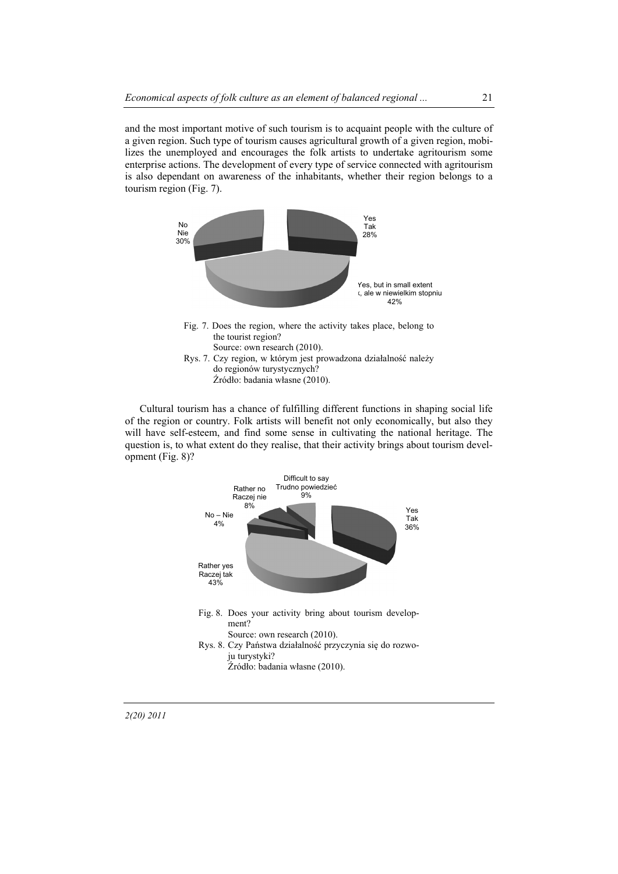and the most important motive of such tourism is to acquaint people with the culture of a given region. Such type of tourism causes agricultural growth of a given region, mobilizes the unemployed and encourages the folk artists to undertake agritourism some enterprise actions. The development of every type of service connected with agritourism is also dependant on awareness of the inhabitants, whether their region belongs to a tourism region (Fig. 7).



Cultural tourism has a chance of fulfilling different functions in shaping social life of the region or country. Folk artists will benefit not only economically, but also they will have self-esteem, and find some sense in cultivating the national heritage. The question is, to what extent do they realise, that their activity brings about tourism development (Fig. 8)?



*2(20) 2011*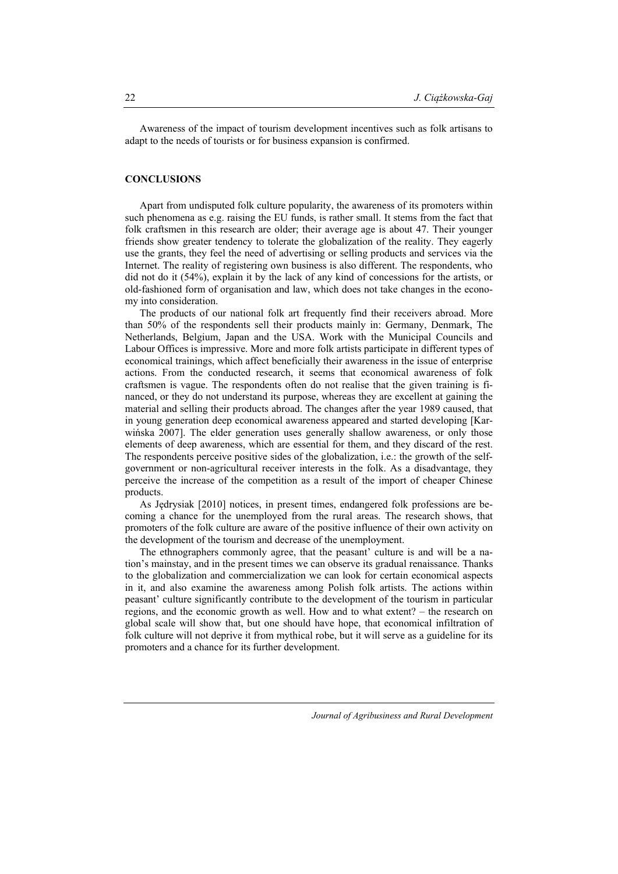Awareness of the impact of tourism development incentives such as folk artisans to adapt to the needs of tourists or for business expansion is confirmed.

## **CONCLUSIONS**

Apart from undisputed folk culture popularity, the awareness of its promoters within such phenomena as e.g. raising the EU funds, is rather small. It stems from the fact that folk craftsmen in this research are older; their average age is about 47. Their younger friends show greater tendency to tolerate the globalization of the reality. They eagerly use the grants, they feel the need of advertising or selling products and services via the Internet. The reality of registering own business is also different. The respondents, who did not do it (54%), explain it by the lack of any kind of concessions for the artists, or old-fashioned form of organisation and law, which does not take changes in the economy into consideration.

The products of our national folk art frequently find their receivers abroad. More than 50% of the respondents sell their products mainly in: Germany, Denmark, The Netherlands, Belgium, Japan and the USA. Work with the Municipal Councils and Labour Offices is impressive. More and more folk artists participate in different types of economical trainings, which affect beneficially their awareness in the issue of enterprise actions. From the conducted research, it seems that economical awareness of folk craftsmen is vague. The respondents often do not realise that the given training is financed, or they do not understand its purpose, whereas they are excellent at gaining the material and selling their products abroad. The changes after the year 1989 caused, that in young generation deep economical awareness appeared and started developing [Karwińska 2007]. The elder generation uses generally shallow awareness, or only those elements of deep awareness, which are essential for them, and they discard of the rest. The respondents perceive positive sides of the globalization, i.e.: the growth of the selfgovernment or non-agricultural receiver interests in the folk. As a disadvantage, they perceive the increase of the competition as a result of the import of cheaper Chinese products.

As Jędrysiak [2010] notices, in present times, endangered folk professions are becoming a chance for the unemployed from the rural areas. The research shows, that promoters of the folk culture are aware of the positive influence of their own activity on the development of the tourism and decrease of the unemployment.

The ethnographers commonly agree, that the peasant' culture is and will be a nation's mainstay, and in the present times we can observe its gradual renaissance. Thanks to the globalization and commercialization we can look for certain economical aspects in it, and also examine the awareness among Polish folk artists. The actions within peasant' culture significantly contribute to the development of the tourism in particular regions, and the economic growth as well. How and to what extent? – the research on global scale will show that, but one should have hope, that economical infiltration of folk culture will not deprive it from mythical robe, but it will serve as a guideline for its promoters and a chance for its further development.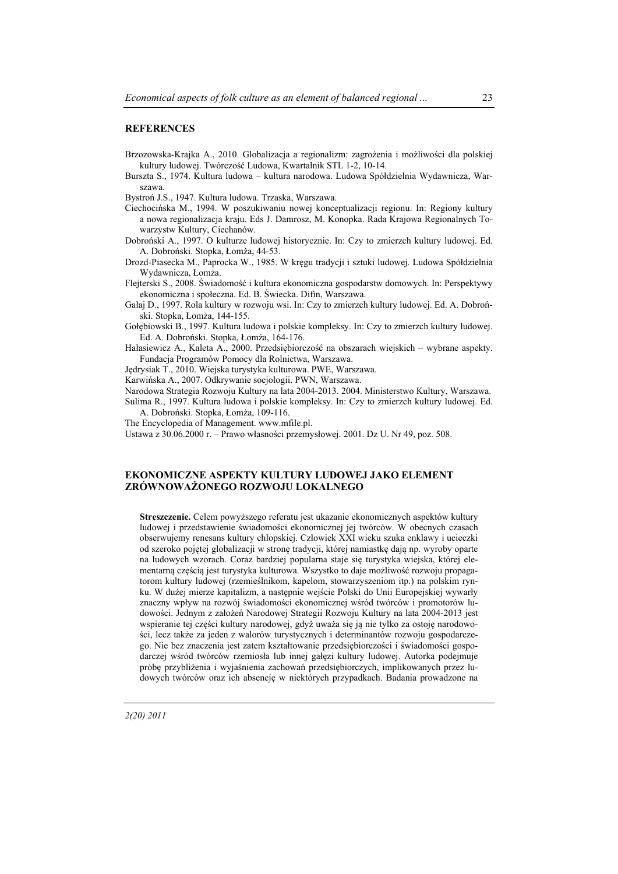#### **REFERENCES**

- Brzozowska-Krajka A., 2010. Globalizacja a regionalizm: zagrożenia i możliwości dla polskiej kultury ludowej. Twórczość Ludowa, Kwartalnik STL 1-2, 10-14.
- Burszta S., 1974. Kultura ludowa kultura narodowa. Ludowa Spółdzielnia Wydawnicza, Warszawa.

Bystroń J.S., 1947. Kultura ludowa. Trzaska, Warszawa.

- Ciechocińska M., 1994. W poszukiwaniu nowej konceptualizacji regionu. In: Regiony kultury a nowa regionalizacja kraju. Eds J. Damrosz, M. Konopka. Rada Krajowa Regionalnych Towarzystw Kultury, Ciechanów.
- Dobroński A., 1997. O kulturze ludowej historycznie. In: Czy to zmierzch kultury ludowej. Ed. A. Dobroński. Stopka, Łomża, 44-53.
- Drozd-Piasecka M., Paprocka W., 1985. W kręgu tradycji i sztuki ludowej. Ludowa Spółdzielnia Wydawnicza, Łomża.
- Flejterski S., 2008. Świadomość i kultura ekonomiczna gospodarstw domowych. In: Perspektywy ekonomiczna i społeczna. Ed. B. Świecka. Difin, Warszawa.
- Gałaj D., 1997. Rola kultury w rozwoju wsi. In: Czy to zmierzch kultury ludowej. Ed. A. Dobroński. Stopka, Łomża, 144-155.
- Gołębiowski B., 1997. Kultura ludowa i polskie kompleksy. In: Czy to zmierzch kultury ludowej. Ed. A. Dobroński. Stopka, Łomża, 164-176.
- Hałasiewicz A., Kaleta A., 2000. Przedsiębiorczość na obszarach wiejskich wybrane aspekty. Fundacja Programów Pomocy dla Rolnictwa, Warszawa.
- Jędrysiak T., 2010. Wiejska turystyka kulturowa. PWE, Warszawa.
- Karwińska A., 2007. Odkrywanie socjologii. PWN, Warszawa.

Narodowa Strategia Rozwoju Kultury na lata 2004-2013. 2004. Ministerstwo Kultury, Warszawa. Sulima R., 1997. Kultura ludowa i polskie kompleksy. In: Czy to zmierzch kultury ludowej. Ed. A. Dobroński. Stopka, Łomża, 109-116.

- The Encyclopedia of Management. www.mfile.pl.
- Ustawa z 30.06.2000 r. Prawo własności przemysłowej. 2001. Dz U. Nr 49, poz. 508.

### **EKONOMICZNE ASPEKTY KULTURY LUDOWEJ JAKO ELEMENT ZRÓWNOWAŻONEGO ROZWOJU LOKALNEGO**

**Streszczenie.** Celem powyższego referatu jest ukazanie ekonomicznych aspektów kultury ludowej i przedstawienie świadomości ekonomicznej jej twórców. W obecnych czasach obserwujemy renesans kultury chłopskiej. Człowiek XXI wieku szuka enklawy i ucieczki od szeroko pojętej globalizacji w stronę tradycji, której namiastkę dają np. wyroby oparte na ludowych wzorach. Coraz bardziej popularna staje się turystyka wiejska, której elementarną częścią jest turystyka kulturowa. Wszystko to daje możliwość rozwoju propagatorom kultury ludowej (rzemieślnikom, kapelom, stowarzyszeniom itp.) na polskim rynku. W dużej mierze kapitalizm, a następnie wejście Polski do Unii Europejskiej wywarły znaczny wpływ na rozwój świadomości ekonomicznej wśród twórców i promotorów ludowości. Jednym z założeń Narodowej Strategii Rozwoju Kultury na lata 2004-2013 jest wspieranie tej części kultury narodowej, gdyż uważa się ją nie tylko za ostoję narodowości, lecz także za jeden z walorów turystycznych i determinantów rozwoju gospodarczego. Nie bez znaczenia jest zatem kształtowanie przedsiębiorczości i świadomości gospodarczej wśród twórców rzemiosła lub innej gałęzi kultury ludowej. Autorka podejmuje próbę przybliżenia i wyjaśnienia zachowań przedsiębiorczych, implikowanych przez ludowych twórców oraz ich absencję w niektórych przypadkach. Badania prowadzone na